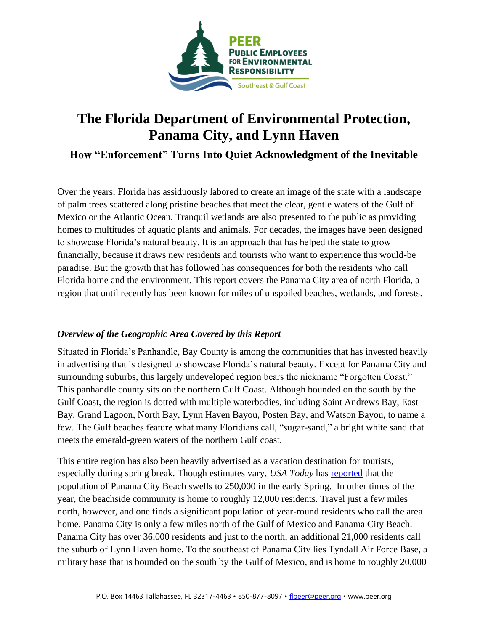

# **The Florida Department of Environmental Protection, Panama City, and Lynn Haven**

**How "Enforcement" Turns Into Quiet Acknowledgment of the Inevitable**

Over the years, Florida has assiduously labored to create an image of the state with a landscape of palm trees scattered along pristine beaches that meet the clear, gentle waters of the Gulf of Mexico or the Atlantic Ocean. Tranquil wetlands are also presented to the public as providing homes to multitudes of aquatic plants and animals. For decades, the images have been designed to showcase Florida's natural beauty. It is an approach that has helped the state to grow financially, because it draws new residents and tourists who want to experience this would-be paradise. But the growth that has followed has consequences for both the residents who call Florida home and the environment. This report covers the Panama City area of north Florida, a region that until recently has been known for miles of unspoiled beaches, wetlands, and forests.

### *Overview of the Geographic Area Covered by this Report*

Situated in Florida's Panhandle, Bay County is among the communities that has invested heavily in advertising that is designed to showcase Florida's natural beauty. Except for Panama City and surrounding suburbs, this largely undeveloped region bears the nickname "Forgotten Coast." This panhandle county sits on the northern Gulf Coast. Although bounded on the south by the Gulf Coast, the region is dotted with multiple waterbodies, including Saint Andrews Bay, East Bay, Grand Lagoon, North Bay, Lynn Haven Bayou, Posten Bay, and Watson Bayou, to name a few. The Gulf beaches feature what many Floridians call, "sugar-sand," a bright white sand that meets the emerald-green waters of the northern Gulf coast.

This entire region has also been heavily advertised as a vacation destination for tourists, especially during spring break. Though estimates vary, *USA Today* has [reported](https://traveltips.usatoday.com/spring-break-hotels-panama-city-beach-26398.html) that the population of Panama City Beach swells to 250,000 in the early Spring. In other times of the year, the beachside community is home to roughly 12,000 residents. Travel just a few miles north, however, and one finds a significant population of year-round residents who call the area home. Panama City is only a few miles north of the Gulf of Mexico and Panama City Beach. Panama City has over 36,000 residents and just to the north, an additional 21,000 residents call the suburb of Lynn Haven home. To the southeast of Panama City lies Tyndall Air Force Base, a military base that is bounded on the south by the Gulf of Mexico, and is home to roughly 20,000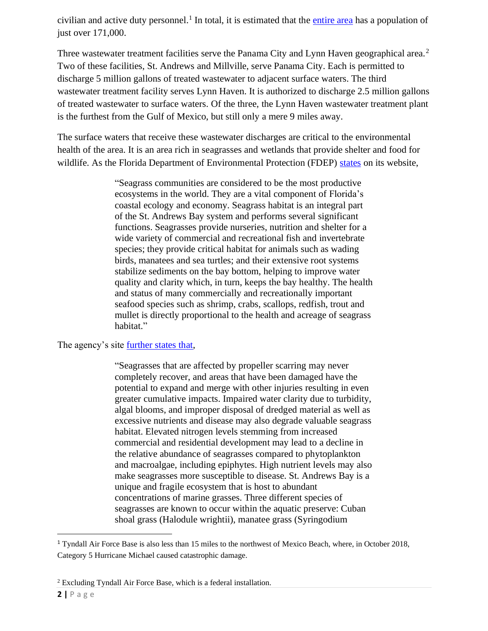civilian and active duty personnel.<sup>1</sup> In total, it is estimated that the *entire area* has a population of just over 171,000.

Three wastewater treatment facilities serve the Panama City and Lynn Haven geographical area.<sup>2</sup> Two of these facilities, St. Andrews and Millville, serve Panama City. Each is permitted to discharge 5 million gallons of treated wastewater to adjacent surface waters. The third wastewater treatment facility serves Lynn Haven. It is authorized to discharge 2.5 million gallons of treated wastewater to surface waters. Of the three, the Lynn Haven wastewater treatment plant is the furthest from the Gulf of Mexico, but still only a mere 9 miles away.

The surface waters that receive these wastewater discharges are critical to the environmental health of the area. It is an area rich in seagrasses and wetlands that provide shelter and food for wildlife. As the Florida Department of Environmental Protection (FDEP) [states](https://floridadep.gov/rcp/aquatic-preserve/content/st-andrews-aquatic-preserve-protection-seagrass-habitat#:~:text=Andrews%20Bay%20is%20a%20unique,turtle%20grass%20(Thalassia%20testudinum)) on its website,

> "Seagrass communities are considered to be the most productive ecosystems in the world. They are a vital component of Florida's coastal ecology and economy. Seagrass habitat is an integral part of the St. Andrews Bay system and performs several significant functions. Seagrasses provide nurseries, nutrition and shelter for a wide variety of commercial and recreational fish and invertebrate species; they provide critical habitat for animals such as wading birds, manatees and sea turtles; and their extensive root systems stabilize sediments on the bay bottom, helping to improve water quality and clarity which, in turn, keeps the bay healthy. The health and status of many commercially and recreationally important seafood species such as shrimp, crabs, scallops, redfish, trout and mullet is directly proportional to the health and acreage of seagrass habitat."

The agency's site <u>further states that</u>,

"Seagrasses that are affected by propeller scarring may never completely recover, and areas that have been damaged have the potential to expand and merge with other injuries resulting in even greater cumulative impacts. Impaired water clarity due to turbidity, algal blooms, and improper disposal of dredged material as well as excessive nutrients and disease may also degrade valuable seagrass habitat. Elevated nitrogen levels stemming from increased commercial and residential development may lead to a decline in the relative abundance of seagrasses compared to phytoplankton and macroalgae, including epiphytes. High nutrient levels may also make seagrasses more susceptible to disease. St. Andrews Bay is a unique and fragile ecosystem that is host to abundant concentrations of marine grasses. Three different species of seagrasses are known to occur within the aquatic preserve: Cuban shoal grass (Halodule wrightii), manatee grass (Syringodium

<sup>1</sup> Tyndall Air Force Base is also less than 15 miles to the northwest of Mexico Beach, where, in October 2018, Category 5 Hurricane Michael caused catastrophic damage.

<sup>2</sup> Excluding Tyndall Air Force Base, which is a federal installation.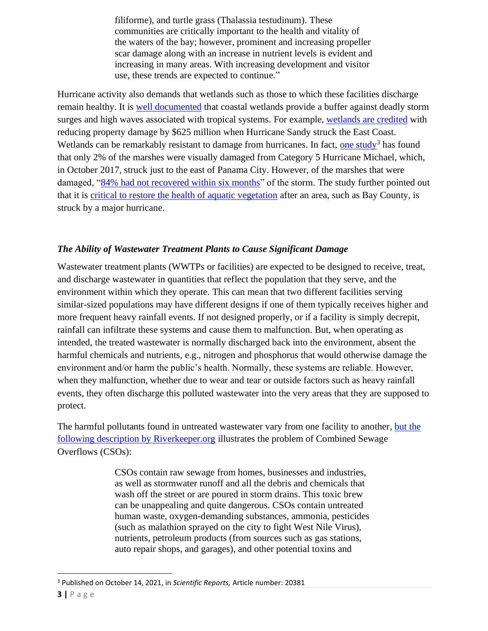filiforme), and turtle grass (Thalassia testudinum). These communities are critically important to the health and vitality of the waters of the bay; however, prominent and increasing propeller scar damage along with an increase in nutrient levels is evident and increasing in many areas. With increasing development and visitor use, these trends are expected to continue."

Hurricane activity also demands that wetlands such as those to which these facilities discharge remain healthy. It is [well documented](https://www.epa.gov/sites/production/files/2016-02/documents/flooding.pdf) that coastal wetlands provide a buffer against deadly storm surges and high waves associated with tropical systems. For example, [wetlands are credited](https://www.pbs.org/newshour/science/wetlands-stopped-650-million-property-damage-hurricane-sandy-can-help-houston) with reducing property damage by \$625 million when Hurricane Sandy struck the East Coast. Wetlands can be remarkably resistant to damage from hurricanes. In fact, [one study](https://www.nature.com/articles/s41598-021-99779-8)<sup>3</sup> has found that only 2% of the marshes were visually damaged from Category 5 Hurricane Michael, which, in October 2017, struck just to the east of Panama City. However, of the marshes that were damaged, ["84% had not recovered within six months"](https://www.nature.com/articles/s41598-021-99779-8) of the storm. The study further pointed out that it is [critical to restore the health of aquatic vegetation](https://www.nature.com/articles/s41598-021-99779-8) after an area, such as Bay County, is struck by a major hurricane.

### *The Ability of Wastewater Treatment Plants to Cause Significant Damage*

Wastewater treatment plants (WWTPs or facilities) are expected to be designed to receive, treat, and discharge wastewater in quantities that reflect the population that they serve, and the environment within which they operate. This can mean that two different facilities serving similar-sized populations may have different designs if one of them typically receives higher and more frequent heavy rainfall events. If not designed properly, or if a facility is simply decrepit, rainfall can infiltrate these systems and cause them to malfunction. But, when operating as intended, the treated wastewater is normally discharged back into the environment, absent the harmful chemicals and nutrients, e.g., nitrogen and phosphorus that would otherwise damage the environment and/or harm the public's health. Normally, these systems are reliable. However, when they malfunction, whether due to wear and tear or outside factors such as heavy rainfall events, they often discharge this polluted wastewater into the very areas that they are supposed to protect.

The harmful pollutants found in untreated wastewater vary from one facility to another, [but the](https://www.riverkeeper.org/campaigns/stop-polluters/sewage-contamination/cso/)  [following description by Riverkeeper.org](https://www.riverkeeper.org/campaigns/stop-polluters/sewage-contamination/cso/) illustrates the problem of Combined Sewage Overflows (CSOs):

> CSOs contain raw sewage from homes, businesses and industries, as well as stormwater runoff and all the debris and chemicals that wash off the street or are poured in storm drains. This toxic brew can be unappealing and quite dangerous. CSOs contain untreated human waste, oxygen-demanding substances, ammonia, pesticides (such as malathion sprayed on the city to fight West Nile Virus), nutrients, petroleum products (from sources such as gas stations, auto repair shops, and garages), and other potential toxins and

<sup>3</sup> Published on October 14, 2021, in *Scientific Reports,* Article number: 20381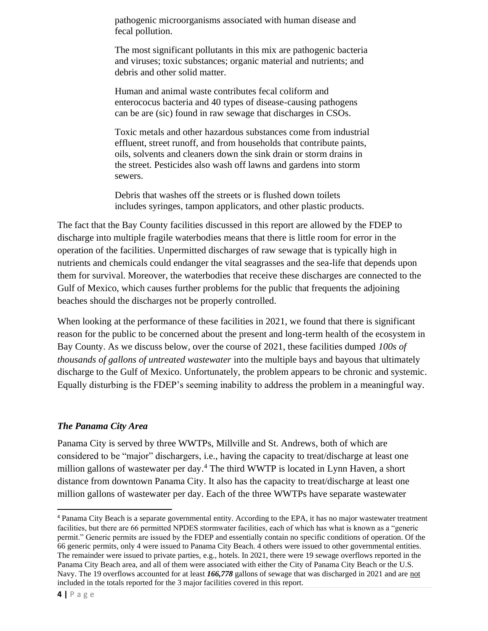pathogenic microorganisms associated with human disease and fecal pollution.

The most significant pollutants in this mix are pathogenic bacteria and viruses; toxic substances; organic material and nutrients; and debris and other solid matter.

Human and animal waste contributes fecal coliform and enterococus bacteria and 40 types of disease-causing pathogens can be are (sic) found in raw sewage that discharges in CSOs.

Toxic metals and other hazardous substances come from industrial effluent, street runoff, and from households that contribute paints, oils, solvents and cleaners down the sink drain or storm drains in the street. Pesticides also wash off lawns and gardens into storm sewers.

Debris that washes off the streets or is flushed down toilets includes syringes, tampon applicators, and other plastic products.

The fact that the Bay County facilities discussed in this report are allowed by the FDEP to discharge into multiple fragile waterbodies means that there is little room for error in the operation of the facilities. Unpermitted discharges of raw sewage that is typically high in nutrients and chemicals could endanger the vital seagrasses and the sea-life that depends upon them for survival. Moreover, the waterbodies that receive these discharges are connected to the Gulf of Mexico, which causes further problems for the public that frequents the adjoining beaches should the discharges not be properly controlled.

When looking at the performance of these facilities in 2021, we found that there is significant reason for the public to be concerned about the present and long-term health of the ecosystem in Bay County. As we discuss below, over the course of 2021, these facilities dumped *100s of thousands of gallons of untreated wastewater* into the multiple bays and bayous that ultimately discharge to the Gulf of Mexico. Unfortunately, the problem appears to be chronic and systemic. Equally disturbing is the FDEP's seeming inability to address the problem in a meaningful way.

### *The Panama City Area*

Panama City is served by three WWTPs, Millville and St. Andrews, both of which are considered to be "major" dischargers, i.e., having the capacity to treat/discharge at least one million gallons of wastewater per day. <sup>4</sup> The third WWTP is located in Lynn Haven, a short distance from downtown Panama City. It also has the capacity to treat/discharge at least one million gallons of wastewater per day. Each of the three WWTPs have separate wastewater

<sup>4</sup> Panama City Beach is a separate governmental entity. According to the EPA, it has no major wastewater treatment facilities, but there are 66 permitted NPDES stormwater facilities, each of which has what is known as a "generic permit." Generic permits are issued by the FDEP and essentially contain no specific conditions of operation. Of the 66 generic permits, only 4 were issued to Panama City Beach. 4 others were issued to other governmental entities. The remainder were issued to private parties, e.g., hotels. In 2021, there were 19 sewage overflows reported in the Panama City Beach area, and all of them were associated with either the City of Panama City Beach or the U.S. Navy. The 19 overflows accounted for at least *166,778* gallons of sewage that was discharged in 2021 and are not included in the totals reported for the 3 major facilities covered in this report.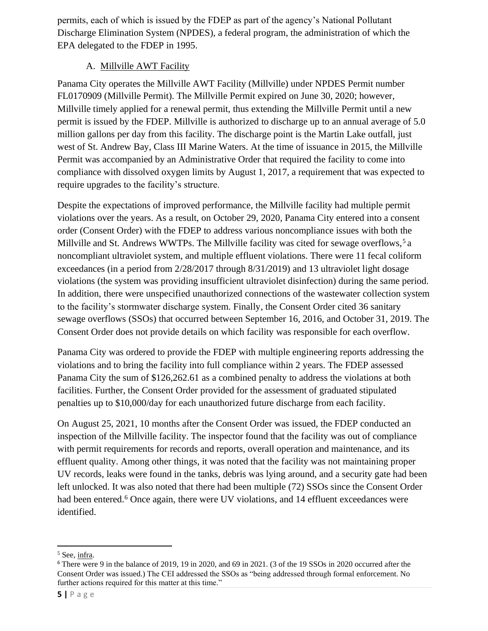permits, each of which is issued by the FDEP as part of the agency's National Pollutant Discharge Elimination System (NPDES), a federal program, the administration of which the EPA delegated to the FDEP in 1995.

### A. Millville AWT Facility

Panama City operates the Millville AWT Facility (Millville) under NPDES Permit number FL0170909 (Millville Permit). The Millville Permit expired on June 30, 2020; however, Millville timely applied for a renewal permit, thus extending the Millville Permit until a new permit is issued by the FDEP. Millville is authorized to discharge up to an annual average of 5.0 million gallons per day from this facility. The discharge point is the Martin Lake outfall, just west of St. Andrew Bay, Class III Marine Waters. At the time of issuance in 2015, the Millville Permit was accompanied by an Administrative Order that required the facility to come into compliance with dissolved oxygen limits by August 1, 2017, a requirement that was expected to require upgrades to the facility's structure.

Despite the expectations of improved performance, the Millville facility had multiple permit violations over the years. As a result, on October 29, 2020, Panama City entered into a consent order (Consent Order) with the FDEP to address various noncompliance issues with both the Millville and St. Andrews WWTPs. The Millville facility was cited for sewage overflows,<sup>5</sup> a noncompliant ultraviolet system, and multiple effluent violations. There were 11 fecal coliform exceedances (in a period from 2/28/2017 through 8/31/2019) and 13 ultraviolet light dosage violations (the system was providing insufficient ultraviolet disinfection) during the same period. In addition, there were unspecified unauthorized connections of the wastewater collection system to the facility's stormwater discharge system. Finally, the Consent Order cited 36 sanitary sewage overflows (SSOs) that occurred between September 16, 2016, and October 31, 2019. The Consent Order does not provide details on which facility was responsible for each overflow.

Panama City was ordered to provide the FDEP with multiple engineering reports addressing the violations and to bring the facility into full compliance within 2 years. The FDEP assessed Panama City the sum of \$126,262.61 as a combined penalty to address the violations at both facilities. Further, the Consent Order provided for the assessment of graduated stipulated penalties up to \$10,000/day for each unauthorized future discharge from each facility.

On August 25, 2021, 10 months after the Consent Order was issued, the FDEP conducted an inspection of the Millville facility. The inspector found that the facility was out of compliance with permit requirements for records and reports, overall operation and maintenance, and its effluent quality. Among other things, it was noted that the facility was not maintaining proper UV records, leaks were found in the tanks, debris was lying around, and a security gate had been left unlocked. It was also noted that there had been multiple (72) SSOs since the Consent Order had been entered.<sup>6</sup> Once again, there were UV violations, and 14 effluent exceedances were identified.

<sup>5</sup> See, infra.

<sup>6</sup> There were 9 in the balance of 2019, 19 in 2020, and 69 in 2021. (3 of the 19 SSOs in 2020 occurred after the Consent Order was issued.) The CEI addressed the SSOs as "being addressed through formal enforcement. No further actions required for this matter at this time."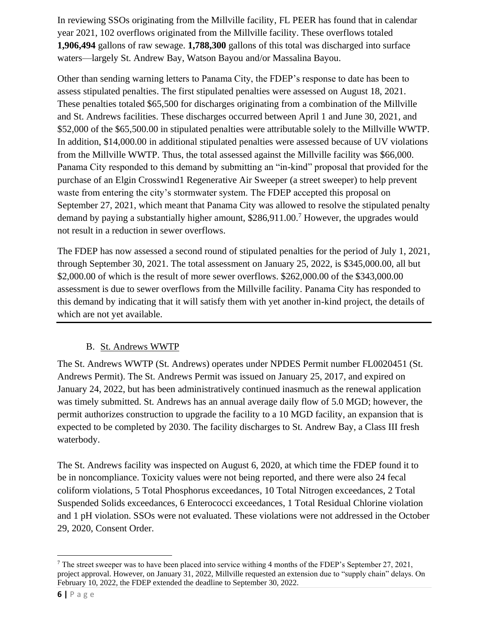In reviewing SSOs originating from the Millville facility, FL PEER has found that in calendar year 2021, 102 overflows originated from the Millville facility. These overflows totaled **1,906,494** gallons of raw sewage. **1,788,300** gallons of this total was discharged into surface waters—largely St. Andrew Bay, Watson Bayou and/or Massalina Bayou.

Other than sending warning letters to Panama City, the FDEP's response to date has been to assess stipulated penalties. The first stipulated penalties were assessed on August 18, 2021. These penalties totaled \$65,500 for discharges originating from a combination of the Millville and St. Andrews facilities. These discharges occurred between April 1 and June 30, 2021, and \$52,000 of the \$65,500.00 in stipulated penalties were attributable solely to the Millville WWTP. In addition, \$14,000.00 in additional stipulated penalties were assessed because of UV violations from the Millville WWTP. Thus, the total assessed against the Millville facility was \$66,000. Panama City responded to this demand by submitting an "in-kind" proposal that provided for the purchase of an Elgin Crosswind1 Regenerative Air Sweeper (a street sweeper) to help prevent waste from entering the city's stormwater system. The FDEP accepted this proposal on September 27, 2021, which meant that Panama City was allowed to resolve the stipulated penalty demand by paying a substantially higher amount, \$286,911.00.<sup>7</sup> However, the upgrades would not result in a reduction in sewer overflows.

The FDEP has now assessed a second round of stipulated penalties for the period of July 1, 2021, through September 30, 2021. The total assessment on January 25, 2022, is \$345,000.00, all but \$2,000.00 of which is the result of more sewer overflows. \$262,000.00 of the \$343,000.00 assessment is due to sewer overflows from the Millville facility. Panama City has responded to this demand by indicating that it will satisfy them with yet another in-kind project, the details of which are not yet available.

# B. St. Andrews WWTP

The St. Andrews WWTP (St. Andrews) operates under NPDES Permit number FL0020451 (St. Andrews Permit). The St. Andrews Permit was issued on January 25, 2017, and expired on January 24, 2022, but has been administratively continued inasmuch as the renewal application was timely submitted. St. Andrews has an annual average daily flow of 5.0 MGD; however, the permit authorizes construction to upgrade the facility to a 10 MGD facility, an expansion that is expected to be completed by 2030. The facility discharges to St. Andrew Bay, a Class III fresh waterbody.

The St. Andrews facility was inspected on August 6, 2020, at which time the FDEP found it to be in noncompliance. Toxicity values were not being reported, and there were also 24 fecal coliform violations, 5 Total Phosphorus exceedances, 10 Total Nitrogen exceedances, 2 Total Suspended Solids exceedances, 6 Enterococci exceedances, 1 Total Residual Chlorine violation and 1 pH violation. SSOs were not evaluated. These violations were not addressed in the October 29, 2020, Consent Order.

<sup>7</sup> The street sweeper was to have been placed into service withing 4 months of the FDEP's September 27, 2021, project approval. However, on January 31, 2022, Millville requested an extension due to "supply chain" delays. On February 10, 2022, the FDEP extended the deadline to September 30, 2022.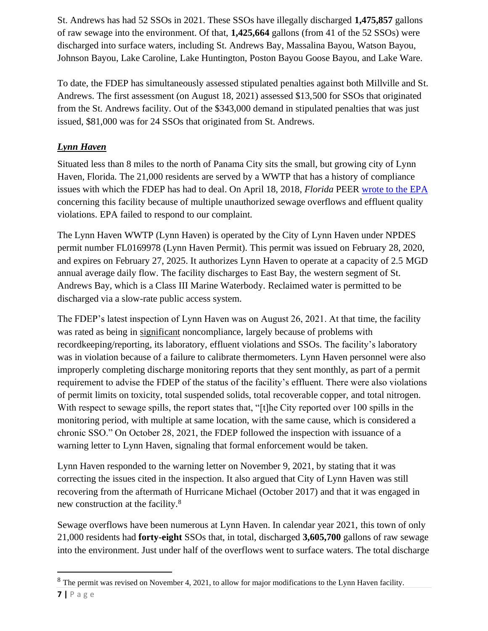St. Andrews has had 52 SSOs in 2021. These SSOs have illegally discharged **1,475,857** gallons of raw sewage into the environment. Of that, **1,425,664** gallons (from 41 of the 52 SSOs) were discharged into surface waters, including St. Andrews Bay, Massalina Bayou, Watson Bayou, Johnson Bayou, Lake Caroline, Lake Huntington, Poston Bayou Goose Bayou, and Lake Ware.

To date, the FDEP has simultaneously assessed stipulated penalties against both Millville and St. Andrews. The first assessment (on August 18, 2021) assessed \$13,500 for SSOs that originated from the St. Andrews facility. Out of the \$343,000 demand in stipulated penalties that was just issued, \$81,000 was for 24 SSOs that originated from St. Andrews.

# *Lynn Haven*

Situated less than 8 miles to the north of Panama City sits the small, but growing city of Lynn Haven, Florida. The 21,000 residents are served by a WWTP that has a history of compliance issues with which the FDEP has had to deal. On April 18, 2018, *Florida* PEER [wrote to the EPA](https://peer.org/feds-urged-to-tackle-rampant-florida-water-pollution/) concerning this facility because of multiple unauthorized sewage overflows and effluent quality violations. EPA failed to respond to our complaint.

The Lynn Haven WWTP (Lynn Haven) is operated by the City of Lynn Haven under NPDES permit number FL0169978 (Lynn Haven Permit). This permit was issued on February 28, 2020, and expires on February 27, 2025. It authorizes Lynn Haven to operate at a capacity of 2.5 MGD annual average daily flow. The facility discharges to East Bay, the western segment of St. Andrews Bay, which is a Class III Marine Waterbody. Reclaimed water is permitted to be discharged via a slow-rate public access system.

The FDEP's latest inspection of Lynn Haven was on August 26, 2021. At that time, the facility was rated as being in significant noncompliance, largely because of problems with recordkeeping/reporting, its laboratory, effluent violations and SSOs. The facility's laboratory was in violation because of a failure to calibrate thermometers. Lynn Haven personnel were also improperly completing discharge monitoring reports that they sent monthly, as part of a permit requirement to advise the FDEP of the status of the facility's effluent. There were also violations of permit limits on toxicity, total suspended solids, total recoverable copper, and total nitrogen. With respect to sewage spills, the report states that, "[t]he City reported over 100 spills in the monitoring period, with multiple at same location, with the same cause, which is considered a chronic SSO." On October 28, 2021, the FDEP followed the inspection with issuance of a warning letter to Lynn Haven, signaling that formal enforcement would be taken.

Lynn Haven responded to the warning letter on November 9, 2021, by stating that it was correcting the issues cited in the inspection. It also argued that City of Lynn Haven was still recovering from the aftermath of Hurricane Michael (October 2017) and that it was engaged in new construction at the facility.<sup>8</sup>

Sewage overflows have been numerous at Lynn Haven. In calendar year 2021, this town of only 21,000 residents had **forty-eight** SSOs that, in total, discharged **3,605,700** gallons of raw sewage into the environment. Just under half of the overflows went to surface waters. The total discharge

**<sup>7</sup> |** P a g e <sup>8</sup> The permit was revised on November 4, 2021, to allow for major modifications to the Lynn Haven facility.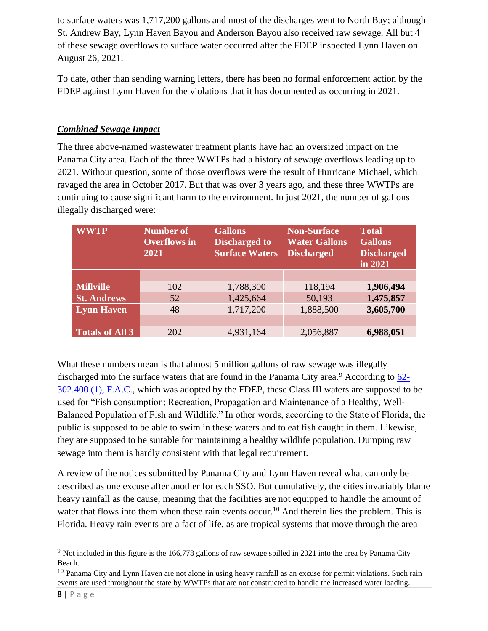to surface waters was 1,717,200 gallons and most of the discharges went to North Bay; although St. Andrew Bay, Lynn Haven Bayou and Anderson Bayou also received raw sewage. All but 4 of these sewage overflows to surface water occurred after the FDEP inspected Lynn Haven on August 26, 2021.

To date, other than sending warning letters, there has been no formal enforcement action by the FDEP against Lynn Haven for the violations that it has documented as occurring in 2021.

### *Combined Sewage Impact*

The three above-named wastewater treatment plants have had an oversized impact on the Panama City area. Each of the three WWTPs had a history of sewage overflows leading up to 2021. Without question, some of those overflows were the result of Hurricane Michael, which ravaged the area in October 2017. But that was over 3 years ago, and these three WWTPs are continuing to cause significant harm to the environment. In just 2021, the number of gallons illegally discharged were:

| <b>WWTP</b>            | <b>Number of</b><br><b>Overflows</b> in<br>2021 | <b>Gallons</b><br><b>Discharged to</b><br><b>Surface Waters</b> | <b>Non-Surface</b><br><b>Water Gallons</b><br><b>Discharged</b> | <b>Total</b><br><b>Gallons</b><br><b>Discharged</b><br>in 2021 |
|------------------------|-------------------------------------------------|-----------------------------------------------------------------|-----------------------------------------------------------------|----------------------------------------------------------------|
|                        |                                                 |                                                                 |                                                                 |                                                                |
| <b>Millville</b>       | 102                                             | 1,788,300                                                       | 118,194                                                         | 1,906,494                                                      |
| <b>St. Andrews</b>     | 52                                              | 1,425,664                                                       | 50,193                                                          | 1,475,857                                                      |
| <b>Lynn Haven</b>      | 48                                              | 1,717,200                                                       | 1,888,500                                                       | 3,605,700                                                      |
|                        |                                                 |                                                                 |                                                                 |                                                                |
| <b>Totals of All 3</b> | 202                                             | 4,931,164                                                       | 2,056,887                                                       | 6,988,051                                                      |

What these numbers mean is that almost 5 million gallons of raw sewage was illegally discharged into the surface waters that are found in the Panama City area.<sup>9</sup> According to  $62$ -[302.400 \(1\), F.A.C.,](https://www.flrules.org/gateway/ChapterHome.asp?Chapter=62-302) which was adopted by the FDEP, these Class III waters are supposed to be used for "Fish consumption; Recreation, Propagation and Maintenance of a Healthy, Well-Balanced Population of Fish and Wildlife." In other words, according to the State of Florida, the public is supposed to be able to swim in these waters and to eat fish caught in them. Likewise, they are supposed to be suitable for maintaining a healthy wildlife population. Dumping raw sewage into them is hardly consistent with that legal requirement.

A review of the notices submitted by Panama City and Lynn Haven reveal what can only be described as one excuse after another for each SSO. But cumulatively, the cities invariably blame heavy rainfall as the cause, meaning that the facilities are not equipped to handle the amount of water that flows into them when these rain events occur.<sup>10</sup> And therein lies the problem. This is Florida. Heavy rain events are a fact of life, as are tropical systems that move through the area—

 $10$  Panama City and Lynn Haven are not alone in using heavy rainfall as an excuse for permit violations. Such rain events are used throughout the state by WWTPs that are not constructed to handle the increased water loading.

<sup>&</sup>lt;sup>9</sup> Not included in this figure is the 166,778 gallons of raw sewage spilled in 2021 into the area by Panama City Beach.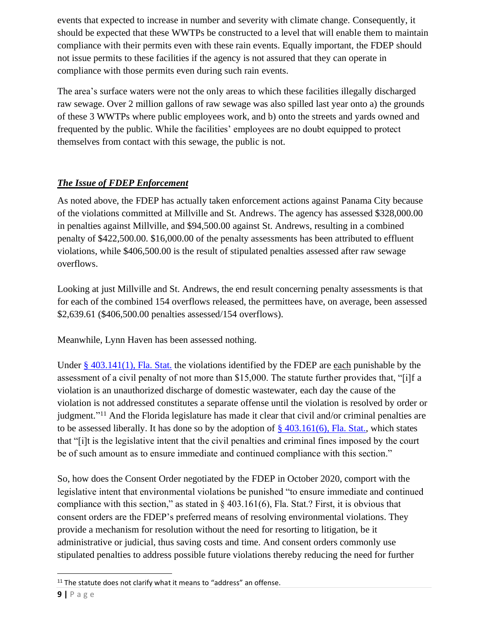events that expected to increase in number and severity with climate change. Consequently, it should be expected that these WWTPs be constructed to a level that will enable them to maintain compliance with their permits even with these rain events. Equally important, the FDEP should not issue permits to these facilities if the agency is not assured that they can operate in compliance with those permits even during such rain events.

The area's surface waters were not the only areas to which these facilities illegally discharged raw sewage. Over 2 million gallons of raw sewage was also spilled last year onto a) the grounds of these 3 WWTPs where public employees work, and b) onto the streets and yards owned and frequented by the public. While the facilities' employees are no doubt equipped to protect themselves from contact with this sewage, the public is not.

# *The Issue of FDEP Enforcement*

As noted above, the FDEP has actually taken enforcement actions against Panama City because of the violations committed at Millville and St. Andrews. The agency has assessed \$328,000.00 in penalties against Millville, and \$94,500.00 against St. Andrews, resulting in a combined penalty of \$422,500.00. \$16,000.00 of the penalty assessments has been attributed to effluent violations, while \$406,500.00 is the result of stipulated penalties assessed after raw sewage overflows.

Looking at just Millville and St. Andrews, the end result concerning penalty assessments is that for each of the combined 154 overflows released, the permittees have, on average, been assessed \$2,639.61 (\$406,500.00 penalties assessed/154 overflows).

Meanwhile, Lynn Haven has been assessed nothing.

Under  $\S$  403.141(1), Fla. Stat. the violations identified by the FDEP are each punishable by the assessment of a civil penalty of not more than \$15,000. The statute further provides that, "[i]f a violation is an unauthorized discharge of domestic wastewater, each day the cause of the violation is not addressed constitutes a separate offense until the violation is resolved by order or judgment."<sup>11</sup> And the Florida legislature has made it clear that civil and/or criminal penalties are to be assessed liberally. It has done so by the adoption of  $\S$  403.161(6), Fla. Stat., which states that "[i]t is the legislative intent that the civil penalties and criminal fines imposed by the court be of such amount as to ensure immediate and continued compliance with this section."

So, how does the Consent Order negotiated by the FDEP in October 2020, comport with the legislative intent that environmental violations be punished "to ensure immediate and continued compliance with this section," as stated in  $\S$  403.161(6), Fla. Stat.? First, it is obvious that consent orders are the FDEP's preferred means of resolving environmental violations. They provide a mechanism for resolution without the need for resorting to litigation, be it administrative or judicial, thus saving costs and time. And consent orders commonly use stipulated penalties to address possible future violations thereby reducing the need for further

<sup>&</sup>lt;sup>11</sup> The statute does not clarify what it means to "address" an offense.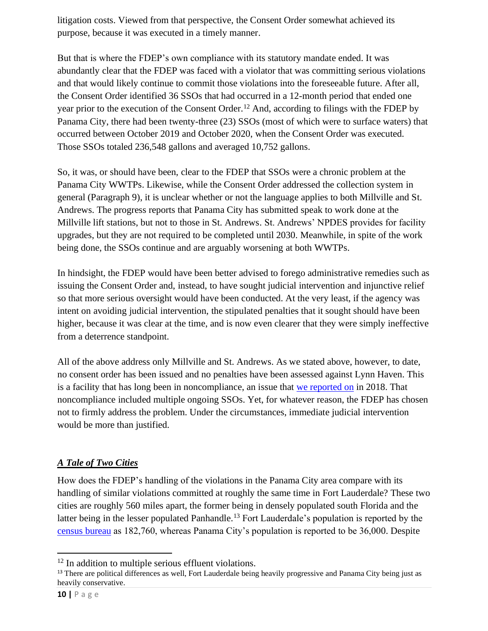litigation costs. Viewed from that perspective, the Consent Order somewhat achieved its purpose, because it was executed in a timely manner.

But that is where the FDEP's own compliance with its statutory mandate ended. It was abundantly clear that the FDEP was faced with a violator that was committing serious violations and that would likely continue to commit those violations into the foreseeable future. After all, the Consent Order identified 36 SSOs that had occurred in a 12-month period that ended one year prior to the execution of the Consent Order.<sup>12</sup> And, according to filings with the FDEP by Panama City, there had been twenty-three (23) SSOs (most of which were to surface waters) that occurred between October 2019 and October 2020, when the Consent Order was executed. Those SSOs totaled 236,548 gallons and averaged 10,752 gallons.

So, it was, or should have been, clear to the FDEP that SSOs were a chronic problem at the Panama City WWTPs. Likewise, while the Consent Order addressed the collection system in general (Paragraph 9), it is unclear whether or not the language applies to both Millville and St. Andrews. The progress reports that Panama City has submitted speak to work done at the Millville lift stations, but not to those in St. Andrews. St. Andrews' NPDES provides for facility upgrades, but they are not required to be completed until 2030. Meanwhile, in spite of the work being done, the SSOs continue and are arguably worsening at both WWTPs.

In hindsight, the FDEP would have been better advised to forego administrative remedies such as issuing the Consent Order and, instead, to have sought judicial intervention and injunctive relief so that more serious oversight would have been conducted. At the very least, if the agency was intent on avoiding judicial intervention, the stipulated penalties that it sought should have been higher, because it was clear at the time, and is now even clearer that they were simply ineffective from a deterrence standpoint.

All of the above address only Millville and St. Andrews. As we stated above, however, to date, no consent order has been issued and no penalties have been assessed against Lynn Haven. This is a facility that has long been in noncompliance, an issue that [we reported on](https://peer.org/feds-urged-to-tackle-rampant-florida-water-pollution/) in 2018. That noncompliance included multiple ongoing SSOs. Yet, for whatever reason, the FDEP has chosen not to firmly address the problem. Under the circumstances, immediate judicial intervention would be more than justified.

# *A Tale of Two Cities*

How does the FDEP's handling of the violations in the Panama City area compare with its handling of similar violations committed at roughly the same time in Fort Lauderdale? These two cities are roughly 560 miles apart, the former being in densely populated south Florida and the latter being in the lesser populated Panhandle.<sup>13</sup> Fort Lauderdale's population is reported by the [census bureau](https://www.census.gov/quickfacts/fact/table/fortlauderdalecityflorida) as 182,760, whereas Panama City's population is reported to be 36,000. Despite

<sup>&</sup>lt;sup>12</sup> In addition to multiple serious effluent violations.

<sup>&</sup>lt;sup>13</sup> There are political differences as well, Fort Lauderdale being heavily progressive and Panama City being just as heavily conservative.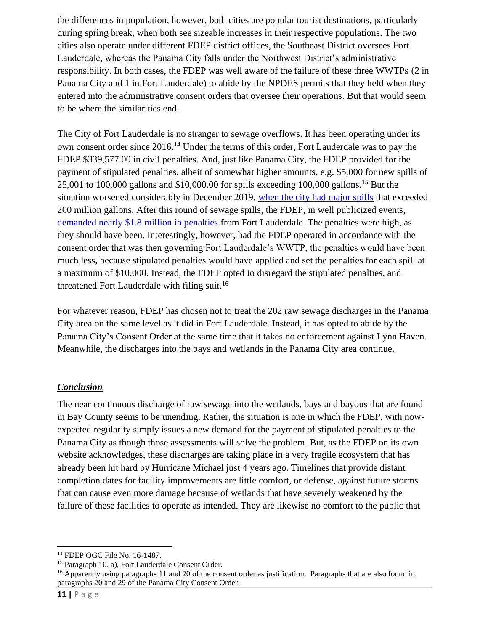the differences in population, however, both cities are popular tourist destinations, particularly during spring break, when both see sizeable increases in their respective populations. The two cities also operate under different FDEP district offices, the Southeast District oversees Fort Lauderdale, whereas the Panama City falls under the Northwest District's administrative responsibility. In both cases, the FDEP was well aware of the failure of these three WWTPs (2 in Panama City and 1 in Fort Lauderdale) to abide by the NPDES permits that they held when they entered into the administrative consent orders that oversee their operations. But that would seem to be where the similarities end.

The City of Fort Lauderdale is no stranger to sewage overflows. It has been operating under its own consent order since 2016.<sup>14</sup> Under the terms of this order, Fort Lauderdale was to pay the FDEP \$339,577.00 in civil penalties. And, just like Panama City, the FDEP provided for the payment of stipulated penalties, albeit of somewhat higher amounts, e.g. \$5,000 for new spills of 25,001 to 100,000 gallons and \$10,000.00 for spills exceeding 100,000 gallons.<sup>15</sup> But the situation worsened considerably in December 2019, [when the city had major spills](https://www.nbcnews.com/news/us-news/more-211-million-gallons-sewage-fort-lauderdale-s-waterways-n1137916) that exceeded 200 million gallons. After this round of sewage spills, the FDEP, in well publicized events, [demanded nearly \\$1.8 million in penalties](https://www.wlrn.org/news/2020-02-18/fort-lauderdale-hit-with-1-8-million-fine-from-state-looks-for-federal-funds-to-stop-sewage-spills) from Fort Lauderdale. The penalties were high, as they should have been. Interestingly, however, had the FDEP operated in accordance with the consent order that was then governing Fort Lauderdale's WWTP, the penalties would have been much less, because stipulated penalties would have applied and set the penalties for each spill at a maximum of \$10,000. Instead, the FDEP opted to disregard the stipulated penalties, and threatened Fort Lauderdale with filing suit.<sup>16</sup>

For whatever reason, FDEP has chosen not to treat the 202 raw sewage discharges in the Panama City area on the same level as it did in Fort Lauderdale. Instead, it has opted to abide by the Panama City's Consent Order at the same time that it takes no enforcement against Lynn Haven. Meanwhile, the discharges into the bays and wetlands in the Panama City area continue.

### *Conclusion*

The near continuous discharge of raw sewage into the wetlands, bays and bayous that are found in Bay County seems to be unending. Rather, the situation is one in which the FDEP, with nowexpected regularity simply issues a new demand for the payment of stipulated penalties to the Panama City as though those assessments will solve the problem. But, as the FDEP on its own website acknowledges, these discharges are taking place in a very fragile ecosystem that has already been hit hard by Hurricane Michael just 4 years ago. Timelines that provide distant completion dates for facility improvements are little comfort, or defense, against future storms that can cause even more damage because of wetlands that have severely weakened by the failure of these facilities to operate as intended. They are likewise no comfort to the public that

<sup>14</sup> FDEP OGC File No. 16-1487.

<sup>15</sup> Paragraph 10. a), Fort Lauderdale Consent Order.

<sup>&</sup>lt;sup>16</sup> Apparently using paragraphs 11 and 20 of the consent order as justification. Paragraphs that are also found in paragraphs 20 and 29 of the Panama City Consent Order.